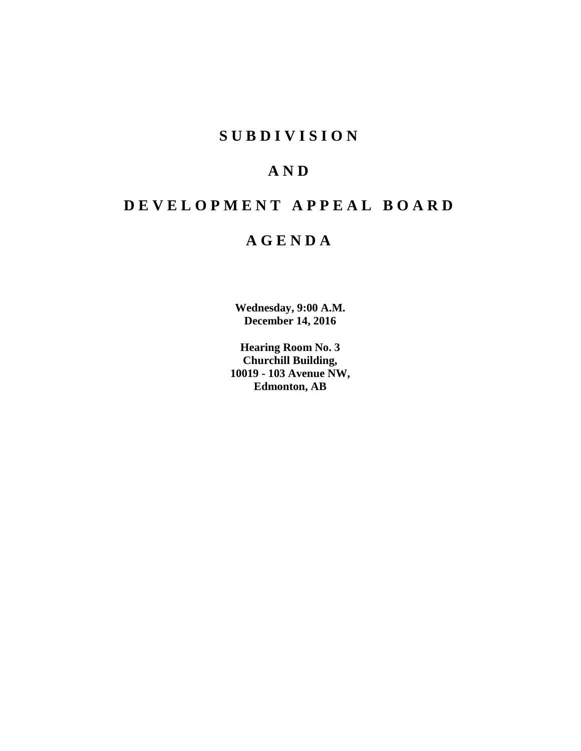# **SUBDIVISION**

# **AND**

# **DEVELOPMENT APPEAL BOARD**

# **AGENDA**

**Wednesday, 9:00 A.M. December 14, 2016**

**Hearing Room No. 3 Churchill Building, 10019 - 103 Avenue NW, Edmonton, AB**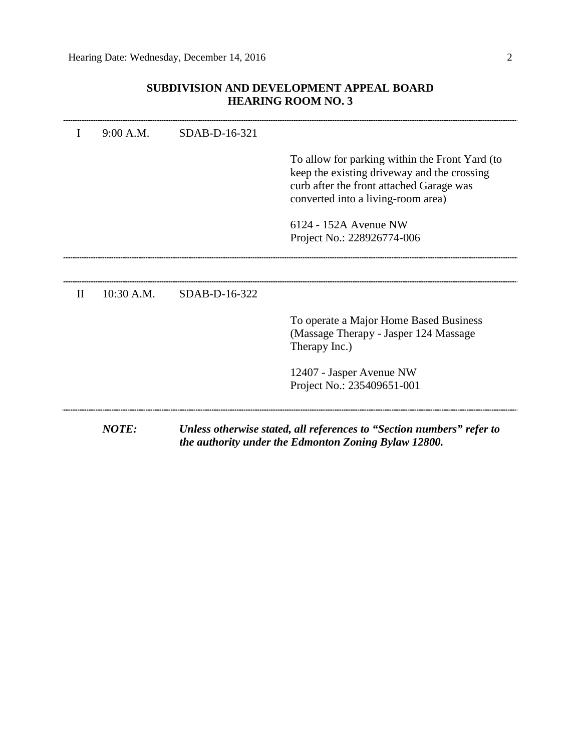# **SUBDIVISION AND DEVELOPMENT APPEAL BOARD HEARING ROOM NO. 3**

|              | <b>NOTE:</b> |               | Unless otherwise stated, all references to "Section numbers" refer to<br>the authority under the Edmonton Zoning Bylaw 12800.                                                   |
|--------------|--------------|---------------|---------------------------------------------------------------------------------------------------------------------------------------------------------------------------------|
|              |              |               | 12407 - Jasper Avenue NW<br>Project No.: 235409651-001                                                                                                                          |
|              |              |               | To operate a Major Home Based Business<br>(Massage Therapy - Jasper 124 Massage)<br>Therapy Inc.)                                                                               |
| $\mathbf{I}$ | $10:30$ A.M. | SDAB-D-16-322 |                                                                                                                                                                                 |
|              |              |               | 6124 - 152A Avenue NW<br>Project No.: 228926774-006                                                                                                                             |
|              |              |               | To allow for parking within the Front Yard (to<br>keep the existing driveway and the crossing<br>curb after the front attached Garage was<br>converted into a living-room area) |
| I            | 9:00 A.M.    | SDAB-D-16-321 |                                                                                                                                                                                 |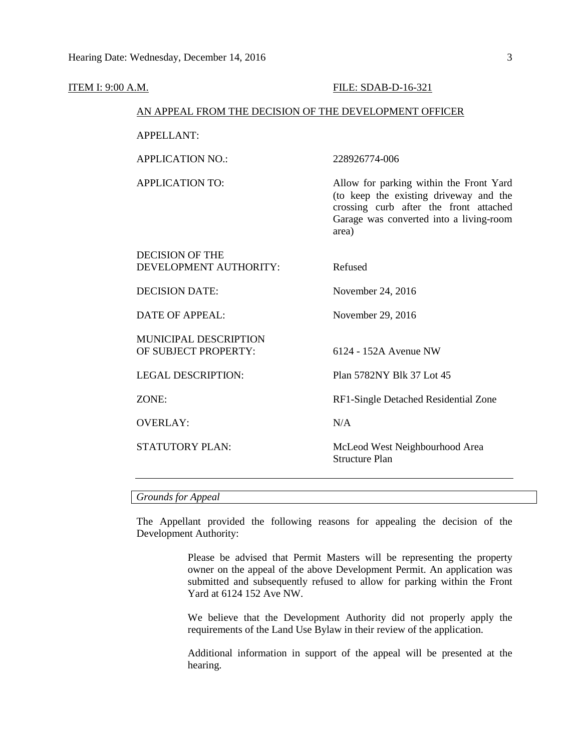| <u>ITEM I: 9:00 A.M.</u> |                                                        | FILE: SDAB-D-16-321                                                                                                                                                             |
|--------------------------|--------------------------------------------------------|---------------------------------------------------------------------------------------------------------------------------------------------------------------------------------|
|                          | AN APPEAL FROM THE DECISION OF THE DEVELOPMENT OFFICER |                                                                                                                                                                                 |
|                          | <b>APPELLANT:</b>                                      |                                                                                                                                                                                 |
|                          | <b>APPLICATION NO.:</b>                                | 228926774-006                                                                                                                                                                   |
|                          | <b>APPLICATION TO:</b>                                 | Allow for parking within the Front Yard<br>(to keep the existing driveway and the<br>crossing curb after the front attached<br>Garage was converted into a living-room<br>area) |
|                          | <b>DECISION OF THE</b><br>DEVELOPMENT AUTHORITY:       | Refused                                                                                                                                                                         |
|                          | <b>DECISION DATE:</b>                                  | November 24, 2016                                                                                                                                                               |
|                          | <b>DATE OF APPEAL:</b>                                 | November 29, 2016                                                                                                                                                               |
|                          | MUNICIPAL DESCRIPTION<br>OF SUBJECT PROPERTY:          | 6124 - 152A Avenue NW                                                                                                                                                           |
|                          | <b>LEGAL DESCRIPTION:</b>                              | Plan 5782NY Blk 37 Lot 45                                                                                                                                                       |
|                          | ZONE:                                                  | RF1-Single Detached Residential Zone                                                                                                                                            |
|                          | <b>OVERLAY:</b>                                        | N/A                                                                                                                                                                             |
|                          | STATUTORY PLAN:                                        | McLeod West Neighbourhood Area<br><b>Structure Plan</b>                                                                                                                         |
|                          |                                                        |                                                                                                                                                                                 |

# *Grounds for Appeal*

The Appellant provided the following reasons for appealing the decision of the Development Authority:

> Please be advised that Permit Masters will be representing the property owner on the appeal of the above Development Permit. An application was submitted and subsequently refused to allow for parking within the Front Yard at 6124 152 Ave NW.

> We believe that the Development Authority did not properly apply the requirements of the Land Use Bylaw in their review of the application.

> Additional information in support of the appeal will be presented at the hearing.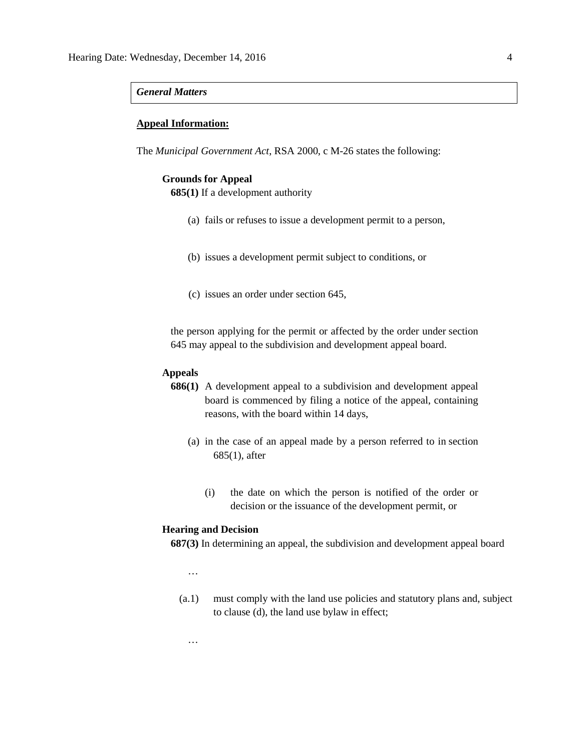# *General Matters*

#### **Appeal Information:**

The *Municipal Government Act*, RSA 2000, c M-26 states the following:

#### **Grounds for Appeal**

**685(1)** If a development authority

- (a) fails or refuses to issue a development permit to a person,
- (b) issues a development permit subject to conditions, or
- (c) issues an order under section 645,

the person applying for the permit or affected by the order under section 645 may appeal to the subdivision and development appeal board.

# **Appeals**

- **686(1)** A development appeal to a subdivision and development appeal board is commenced by filing a notice of the appeal, containing reasons, with the board within 14 days,
	- (a) in the case of an appeal made by a person referred to in section 685(1), after
		- (i) the date on which the person is notified of the order or decision or the issuance of the development permit, or

#### **Hearing and Decision**

**687(3)** In determining an appeal, the subdivision and development appeal board

…

…

(a.1) must comply with the land use policies and statutory plans and, subject to clause (d), the land use bylaw in effect;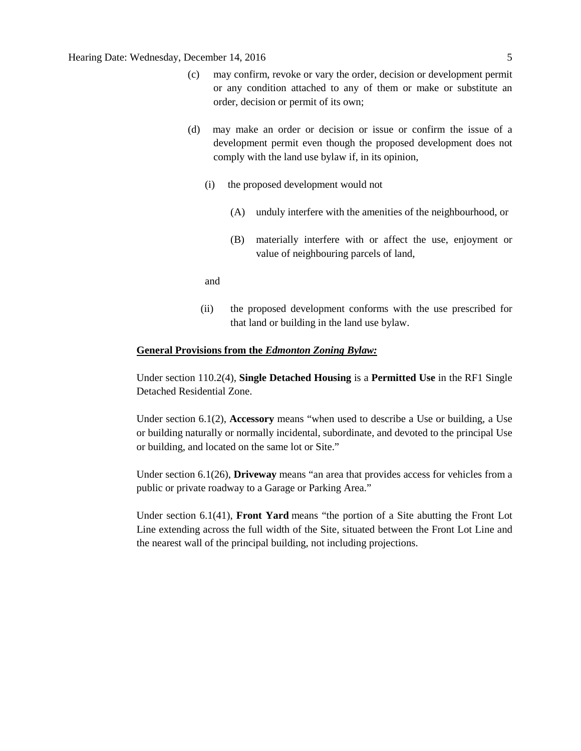# Hearing Date: Wednesday, December 14, 2016 5

- (c) may confirm, revoke or vary the order, decision or development permit or any condition attached to any of them or make or substitute an order, decision or permit of its own;
- (d) may make an order or decision or issue or confirm the issue of a development permit even though the proposed development does not comply with the land use bylaw if, in its opinion,
	- (i) the proposed development would not
		- (A) unduly interfere with the amenities of the neighbourhood, or
		- (B) materially interfere with or affect the use, enjoyment or value of neighbouring parcels of land,

and

(ii) the proposed development conforms with the use prescribed for that land or building in the land use bylaw.

# **General Provisions from the** *Edmonton Zoning Bylaw:*

Under section 110.2(4), **Single Detached Housing** is a **Permitted Use** in the RF1 Single Detached Residential Zone.

Under section 6.1(2), **Accessory** means "when used to describe a Use or building, a Use or building naturally or normally incidental, subordinate, and devoted to the principal Use or building, and located on the same lot or Site."

Under section 6.1(26), **Driveway** means "an area that provides access for vehicles from a public or private roadway to a Garage or Parking Area."

Under section 6.1(41), **Front Yard** means "the portion of a Site abutting the Front Lot Line extending across the full width of the Site, situated between the Front Lot Line and the nearest wall of the principal building, not including projections.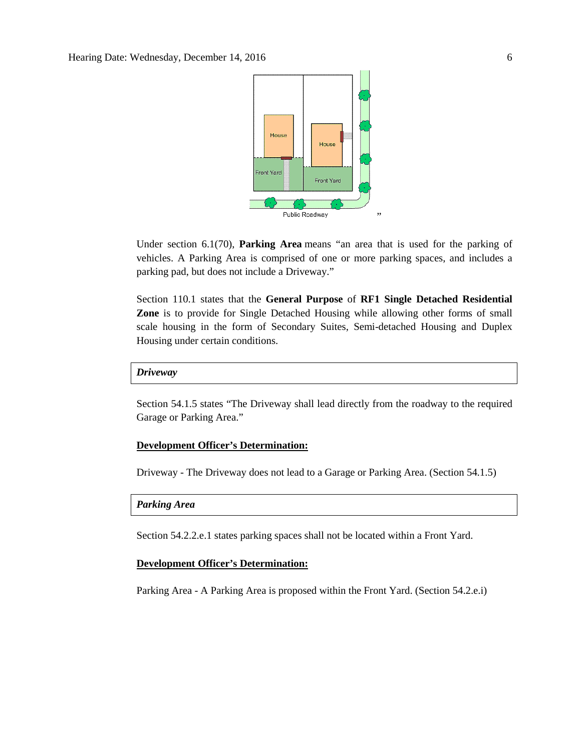

Under section 6.1(70), **Parking Area** means "an area that is used for the parking of vehicles. A Parking Area is comprised of one or more parking spaces, and includes a parking pad, but does not include a Driveway."

Section 110.1 states that the **General Purpose** of **RF1 Single Detached Residential Zone** is to provide for Single Detached Housing while allowing other forms of small scale housing in the form of Secondary Suites, Semi-detached Housing and Duplex Housing under certain conditions.

# *Driveway*

Section 54.1.5 states "The Driveway shall lead directly from the roadway to the required Garage or Parking Area."

# **Development Officer's Determination:**

Driveway - The Driveway does not lead to a Garage or Parking Area. (Section 54.1.5)

# *Parking Area*

Section 54.2.2.e.1 states parking spaces shall not be located within a Front Yard.

# **Development Officer's Determination:**

Parking Area - A Parking Area is proposed within the Front Yard. (Section 54.2.e.i)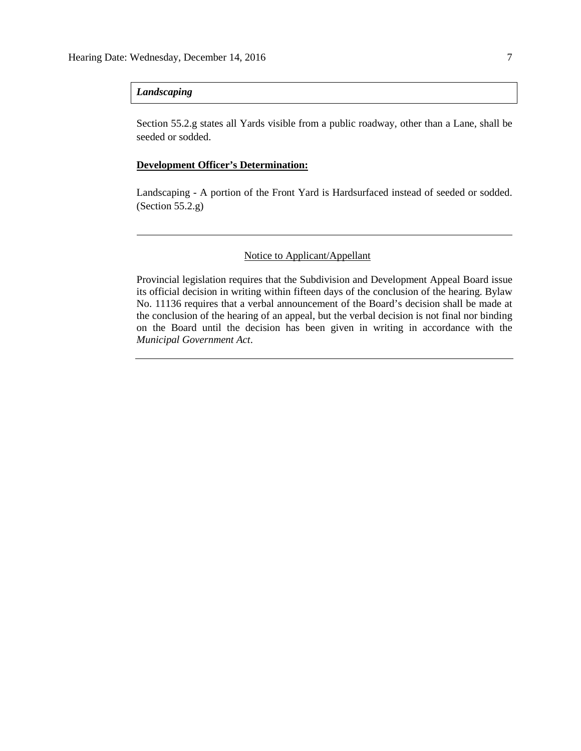# *Landscaping*

Section 55.2.g states all Yards visible from a public roadway, other than a Lane, shall be seeded or sodded.

## **Development Officer's Determination:**

Landscaping - A portion of the Front Yard is Hardsurfaced instead of seeded or sodded. (Section 55.2.g)

# Notice to Applicant/Appellant

Provincial legislation requires that the Subdivision and Development Appeal Board issue its official decision in writing within fifteen days of the conclusion of the hearing. Bylaw No. 11136 requires that a verbal announcement of the Board's decision shall be made at the conclusion of the hearing of an appeal, but the verbal decision is not final nor binding on the Board until the decision has been given in writing in accordance with the *Municipal Government Act*.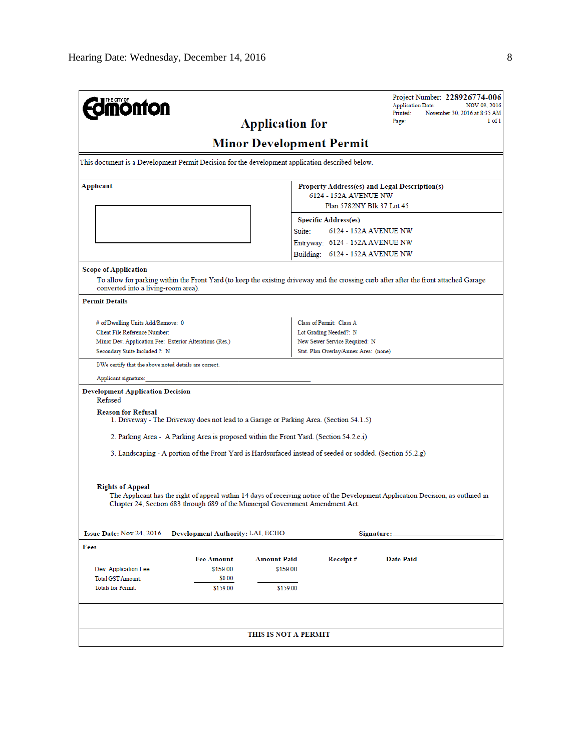| <b>nönfon</b>                                                                                                                                                                |                                  |                        |                                                    | Project Number: 228926774-006<br><b>Application Date:</b><br>NOV 09, 2016<br>Printed:<br>November 30, 2016 at 8:35 AM            |
|------------------------------------------------------------------------------------------------------------------------------------------------------------------------------|----------------------------------|------------------------|----------------------------------------------------|----------------------------------------------------------------------------------------------------------------------------------|
|                                                                                                                                                                              |                                  | <b>Application for</b> |                                                    | $1$ of $1$<br>Page:                                                                                                              |
| <b>Minor Development Permit</b>                                                                                                                                              |                                  |                        |                                                    |                                                                                                                                  |
| This document is a Development Permit Decision for the development application described below.                                                                              |                                  |                        |                                                    |                                                                                                                                  |
|                                                                                                                                                                              |                                  |                        |                                                    |                                                                                                                                  |
| Applicant                                                                                                                                                                    |                                  |                        | 6124 - 152A AVENUE NW                              | Property Address(es) and Legal Description(s)                                                                                    |
|                                                                                                                                                                              |                                  |                        | Plan 5782NY Blk 37 Lot 45                          |                                                                                                                                  |
|                                                                                                                                                                              |                                  |                        | <b>Specific Address(es)</b>                        |                                                                                                                                  |
|                                                                                                                                                                              |                                  | Suite:                 | 6124 - 152A AVENUE NW                              |                                                                                                                                  |
|                                                                                                                                                                              |                                  |                        | Entryway: 6124 - 152A AVENUE NW                    |                                                                                                                                  |
|                                                                                                                                                                              |                                  |                        | Building: 6124 - 152A AVENUE NW                    |                                                                                                                                  |
| <b>Scope of Application</b>                                                                                                                                                  |                                  |                        |                                                    |                                                                                                                                  |
| To allow for parking within the Front Yard (to keep the existing driveway and the crossing curb after after the front attached Garage<br>converted into a living-room area). |                                  |                        |                                                    |                                                                                                                                  |
| <b>Permit Details</b>                                                                                                                                                        |                                  |                        |                                                    |                                                                                                                                  |
|                                                                                                                                                                              |                                  |                        |                                                    |                                                                                                                                  |
| # of Dwelling Units Add/Remove: 0<br>Client File Reference Number:                                                                                                           |                                  |                        | Class of Permit: Class A<br>Lot Grading Needed?: N |                                                                                                                                  |
| Minor Dev. Application Fee: Exterior Alterations (Res.)                                                                                                                      |                                  |                        | New Sewer Service Required: N                      |                                                                                                                                  |
| Secondary Suite Included ?: N                                                                                                                                                |                                  |                        | Stat. Plan Overlay/Annex Area: (none)              |                                                                                                                                  |
| I/We certify that the above noted details are correct.                                                                                                                       |                                  |                        |                                                    |                                                                                                                                  |
| Applicant signature:                                                                                                                                                         |                                  |                        |                                                    |                                                                                                                                  |
| <b>Development Application Decision</b><br>Refused                                                                                                                           |                                  |                        |                                                    |                                                                                                                                  |
| <b>Reason for Refusal</b><br>1. Driveway - The Driveway does not lead to a Garage or Parking Area. (Section 54.1.5)                                                          |                                  |                        |                                                    |                                                                                                                                  |
| 2. Parking Area - A Parking Area is proposed within the Front Yard. (Section 54.2.e.i)                                                                                       |                                  |                        |                                                    |                                                                                                                                  |
| 3. Landscaping - A portion of the Front Yard is Hardsurfaced instead of seeded or sodded. (Section 55.2.g)                                                                   |                                  |                        |                                                    |                                                                                                                                  |
|                                                                                                                                                                              |                                  |                        |                                                    |                                                                                                                                  |
|                                                                                                                                                                              |                                  |                        |                                                    |                                                                                                                                  |
| <b>Rights of Appeal</b><br>Chapter 24, Section 683 through 689 of the Municipal Government Amendment Act.                                                                    |                                  |                        |                                                    | The Applicant has the right of appeal within 14 days of receiving notice of the Development Application Decision, as outlined in |
|                                                                                                                                                                              |                                  |                        |                                                    |                                                                                                                                  |
| Issue Date: Nov 24, 2016                                                                                                                                                     | Development Authority: LAI, ECHO |                        |                                                    | Signature:                                                                                                                       |
| Fees                                                                                                                                                                         |                                  |                        |                                                    |                                                                                                                                  |
| <b>Fee Amount</b>                                                                                                                                                            |                                  | Amount Paid            | Receipt#                                           | Date Paid                                                                                                                        |
| Dev. Application Fee                                                                                                                                                         | \$159.00                         | \$159.00               |                                                    |                                                                                                                                  |
| <b>Total GST Amount:</b>                                                                                                                                                     | \$0.00                           |                        |                                                    |                                                                                                                                  |
| <b>Totals for Permit:</b>                                                                                                                                                    | \$159.00                         | \$159.00               |                                                    |                                                                                                                                  |
|                                                                                                                                                                              |                                  |                        |                                                    |                                                                                                                                  |
|                                                                                                                                                                              |                                  | THIS IS NOT A PERMIT   |                                                    |                                                                                                                                  |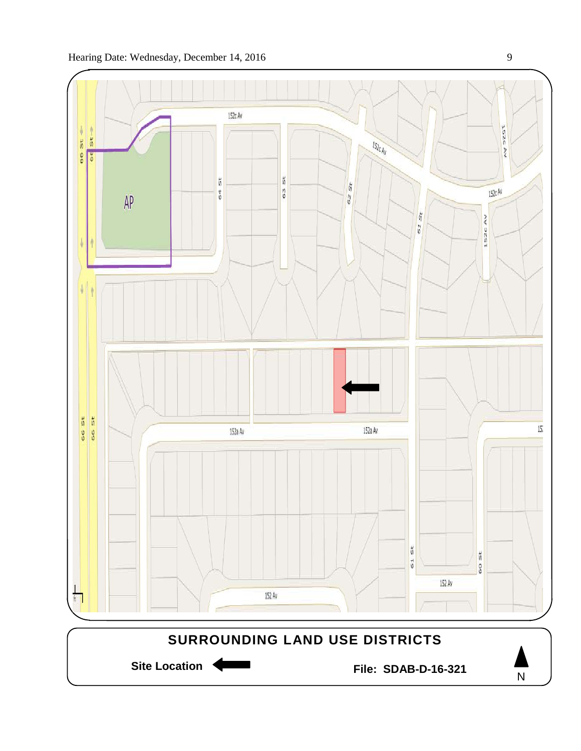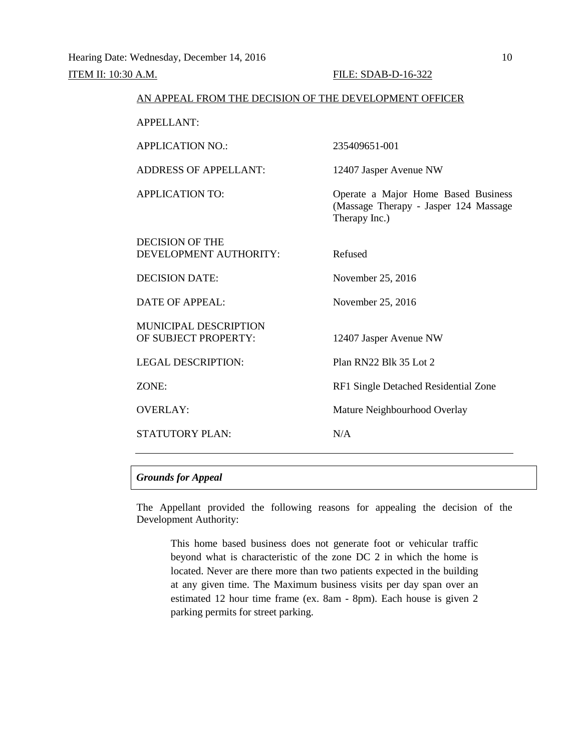| AN APPEAL FROM THE DECISION OF THE DEVELOPMENT OFFICER |                                                                                               |
|--------------------------------------------------------|-----------------------------------------------------------------------------------------------|
| <b>APPELLANT:</b>                                      |                                                                                               |
| <b>APPLICATION NO.:</b>                                | 235409651-001                                                                                 |
| <b>ADDRESS OF APPELLANT:</b>                           | 12407 Jasper Avenue NW                                                                        |
| <b>APPLICATION TO:</b>                                 | Operate a Major Home Based Business<br>(Massage Therapy - Jasper 124 Massage<br>Therapy Inc.) |
| <b>DECISION OF THE</b><br>DEVELOPMENT AUTHORITY:       | Refused                                                                                       |
| <b>DECISION DATE:</b>                                  | November 25, 2016                                                                             |
| DATE OF APPEAL:                                        | November 25, 2016                                                                             |
| <b>MUNICIPAL DESCRIPTION</b><br>OF SUBJECT PROPERTY:   | 12407 Jasper Avenue NW                                                                        |
| <b>LEGAL DESCRIPTION:</b>                              | Plan RN22 Blk 35 Lot 2                                                                        |
| ZONE:                                                  | RF1 Single Detached Residential Zone                                                          |
| <b>OVERLAY:</b>                                        | Mature Neighbourhood Overlay                                                                  |
| <b>STATUTORY PLAN:</b>                                 | N/A                                                                                           |

# *Grounds for Appeal*

The Appellant provided the following reasons for appealing the decision of the Development Authority:

This home based business does not generate foot or vehicular traffic beyond what is characteristic of the zone DC 2 in which the home is located. Never are there more than two patients expected in the building at any given time. The Maximum business visits per day span over an estimated 12 hour time frame (ex. 8am - 8pm). Each house is given 2 parking permits for street parking.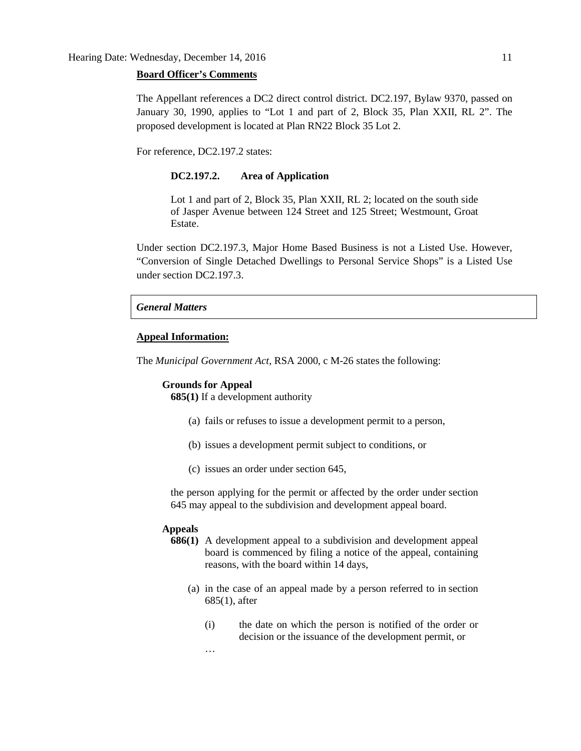#### **Board Officer's Comments**

The Appellant references a DC2 direct control district. DC2.197, Bylaw 9370, passed on January 30, 1990, applies to "Lot 1 and part of 2, Block 35, Plan XXII, RL 2". The proposed development is located at Plan RN22 Block 35 Lot 2.

For reference, DC2.197.2 states:

#### **DC2.197.2. Area of Application**

Lot 1 and part of 2, Block 35, Plan XXII, RL 2; located on the south side of Jasper Avenue between 124 Street and 125 Street; Westmount, Groat Estate.

Under section DC2.197.3, Major Home Based Business is not a Listed Use. However, "Conversion of Single Detached Dwellings to Personal Service Shops" is a Listed Use under section DC2.197.3.

#### *General Matters*

#### **Appeal Information:**

The *Municipal Government Act*, RSA 2000, c M-26 states the following:

# **Grounds for Appeal**

…

**685(1)** If a development authority

- (a) fails or refuses to issue a development permit to a person,
- (b) issues a development permit subject to conditions, or
- (c) issues an order under section 645,

the person applying for the permit or affected by the order under section 645 may appeal to the subdivision and development appeal board.

# **Appeals**

- **686(1)** A development appeal to a subdivision and development appeal board is commenced by filing a notice of the appeal, containing reasons, with the board within 14 days,
	- (a) in the case of an appeal made by a person referred to in section 685(1), after
		- (i) the date on which the person is notified of the order or decision or the issuance of the development permit, or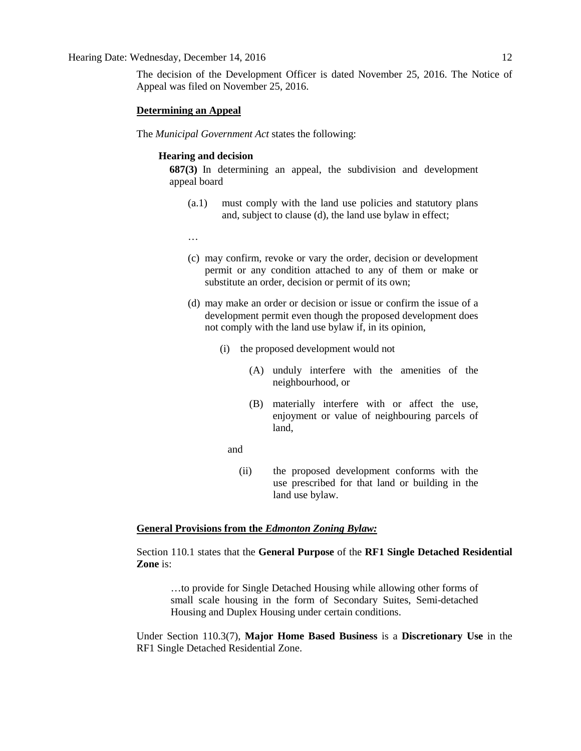The decision of the Development Officer is dated November 25, 2016. The Notice of Appeal was filed on November 25, 2016.

#### **Determining an Appeal**

The *Municipal Government Act* states the following:

# **Hearing and decision**

**687(3)** In determining an appeal, the subdivision and development appeal board

- (a.1) must comply with the land use policies and statutory plans and, subject to clause (d), the land use bylaw in effect;
- …
- (c) may confirm, revoke or vary the order, decision or development permit or any condition attached to any of them or make or substitute an order, decision or permit of its own;
- (d) may make an order or decision or issue or confirm the issue of a development permit even though the proposed development does not comply with the land use bylaw if, in its opinion,
	- (i) the proposed development would not
		- (A) unduly interfere with the amenities of the neighbourhood, or
		- (B) materially interfere with or affect the use, enjoyment or value of neighbouring parcels of land,
		- and
			- (ii) the proposed development conforms with the use prescribed for that land or building in the land use bylaw.

# **General Provisions from the** *Edmonton Zoning Bylaw:*

Section 110.1 states that the **General Purpose** of the **RF1 Single Detached Residential Zone** is:

…to provide for Single Detached Housing while allowing other forms of small scale housing in the form of Secondary Suites, Semi-detached Housing and Duplex Housing under certain conditions.

Under Section 110.3(7), **Major Home Based Business** is a **Discretionary Use** in the RF1 Single Detached Residential Zone.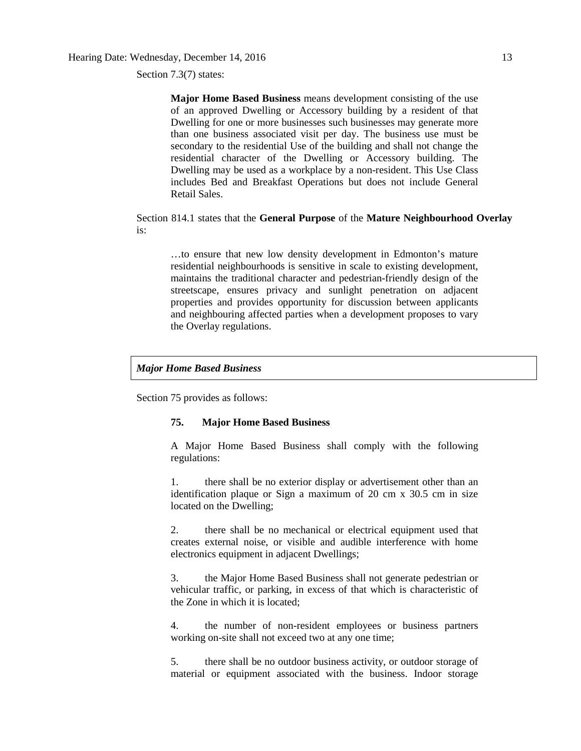Section 7.3(7) states:

**Major Home Based Business** means development consisting of the use of an approved Dwelling or Accessory building by a resident of that Dwelling for one or more businesses such businesses may generate more than one business associated visit per day. The business use must be secondary to the residential Use of the building and shall not change the residential character of the Dwelling or Accessory building. The Dwelling may be used as a workplace by a non-resident. This Use Class includes Bed and Breakfast Operations but does not include General Retail Sales.

Section 814.1 states that the **General Purpose** of the **Mature Neighbourhood Overlay** is:

…to ensure that new low density development in Edmonton's mature residential neighbourhoods is sensitive in scale to existing development, maintains the traditional character and pedestrian-friendly design of the streetscape, ensures privacy and sunlight penetration on adjacent properties and provides opportunity for discussion between applicants and neighbouring affected parties when a development proposes to vary the Overlay regulations.

#### *Major Home Based Business*

Section 75 provides as follows:

# **75. Major Home Based Business**

A Major Home Based Business shall comply with the following regulations:

1. there shall be no exterior display or advertisement other than an identification plaque or Sign a maximum of 20 cm x 30.5 cm in size located on the Dwelling;

2. there shall be no mechanical or electrical equipment used that creates external noise, or visible and audible interference with home electronics equipment in adjacent Dwellings;

3. the Major Home Based Business shall not generate pedestrian or vehicular traffic, or parking, in excess of that which is characteristic of the Zone in which it is located;

4. the number of non-resident employees or business partners working on-site shall not exceed two at any one time;

5. there shall be no outdoor business activity, or outdoor storage of material or equipment associated with the business. Indoor storage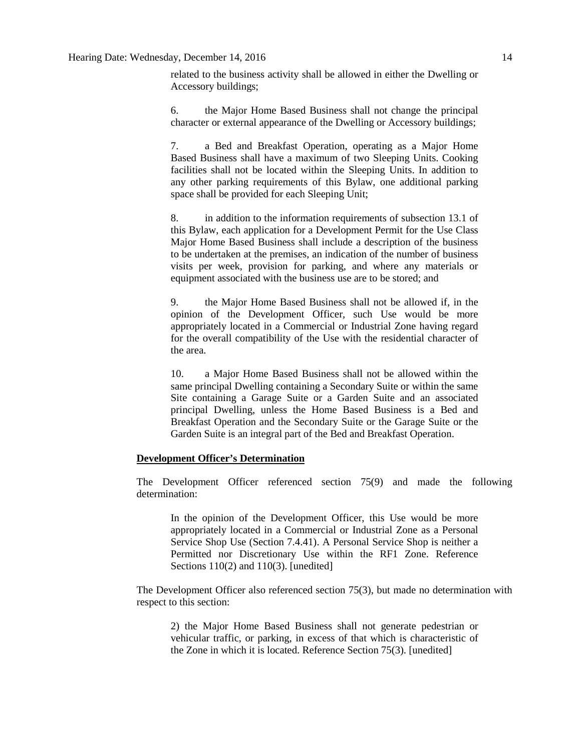# Hearing Date: Wednesday, December 14, 2016 14

related to the business activity shall be allowed in either the Dwelling or Accessory buildings;

6. the Major Home Based Business shall not change the principal character or external appearance of the Dwelling or Accessory buildings;

7. a Bed and Breakfast Operation, operating as a Major Home Based Business shall have a maximum of two Sleeping Units. Cooking facilities shall not be located within the Sleeping Units. In addition to any other parking requirements of this Bylaw, one additional parking space shall be provided for each Sleeping Unit;

8. in addition to the information requirements of subsection 13.1 of this Bylaw, each application for a Development Permit for the Use Class Major Home Based Business shall include a description of the business to be undertaken at the premises, an indication of the number of business visits per week, provision for parking, and where any materials or equipment associated with the business use are to be stored; and

9. the Major Home Based Business shall not be allowed if, in the opinion of the Development Officer, such Use would be more appropriately located in a Commercial or Industrial Zone having regard for the overall compatibility of the Use with the residential character of the area.

10. a Major Home Based Business shall not be allowed within the same principal Dwelling containing a Secondary Suite or within the same Site containing a Garage Suite or a Garden Suite and an associated principal Dwelling, unless the Home Based Business is a Bed and Breakfast Operation and the Secondary Suite or the Garage Suite or the Garden Suite is an integral part of the Bed and Breakfast Operation.

#### **Development Officer's Determination**

The Development Officer referenced section 75(9) and made the following determination:

In the opinion of the Development Officer, this Use would be more appropriately located in a Commercial or Industrial Zone as a Personal Service Shop Use (Section 7.4.41). A Personal Service Shop is neither a Permitted nor Discretionary Use within the RF1 Zone. Reference Sections 110(2) and 110(3). [unedited]

The Development Officer also referenced section 75(3), but made no determination with respect to this section:

2) the Major Home Based Business shall not generate pedestrian or vehicular traffic, or parking, in excess of that which is characteristic of the Zone in which it is located. Reference Section 75(3). [unedited]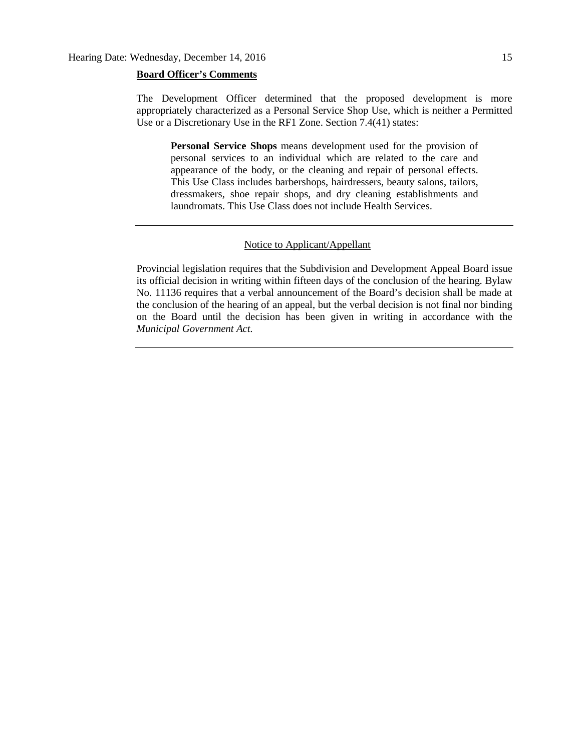#### **Board Officer's Comments**

The Development Officer determined that the proposed development is more appropriately characterized as a Personal Service Shop Use, which is neither a Permitted Use or a Discretionary Use in the RF1 Zone. Section 7.4(41) states:

**Personal Service Shops** means development used for the provision of personal services to an individual which are related to the care and appearance of the body, or the cleaning and repair of personal effects. This Use Class includes barbershops, hairdressers, beauty salons, tailors, dressmakers, shoe repair shops, and dry cleaning establishments and laundromats. This Use Class does not include Health Services.

# Notice to Applicant/Appellant

Provincial legislation requires that the Subdivision and Development Appeal Board issue its official decision in writing within fifteen days of the conclusion of the hearing. Bylaw No. 11136 requires that a verbal announcement of the Board's decision shall be made at the conclusion of the hearing of an appeal, but the verbal decision is not final nor binding on the Board until the decision has been given in writing in accordance with the *Municipal Government Act.*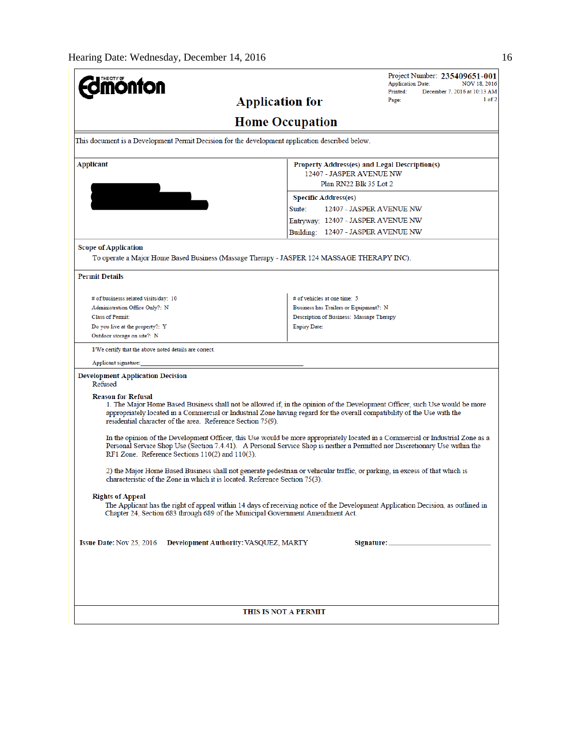| <b>mönton</b>                                                                                                                                                                                                                                                                                                                                       |                                                                           | <b>Application Date:</b><br><b>NOV 18, 2016</b><br>Printed:<br>December 7, 2016 at 10:13 AM |  |  |
|-----------------------------------------------------------------------------------------------------------------------------------------------------------------------------------------------------------------------------------------------------------------------------------------------------------------------------------------------------|---------------------------------------------------------------------------|---------------------------------------------------------------------------------------------|--|--|
| <b>Application for</b>                                                                                                                                                                                                                                                                                                                              |                                                                           | $1$ of $2$<br>Page:                                                                         |  |  |
|                                                                                                                                                                                                                                                                                                                                                     | <b>Home Occupation</b>                                                    |                                                                                             |  |  |
| This document is a Development Permit Decision for the development application described below.                                                                                                                                                                                                                                                     |                                                                           |                                                                                             |  |  |
| <b>Applicant</b>                                                                                                                                                                                                                                                                                                                                    | Property Address(es) and Legal Description(s)<br>12407 - JASPER AVENUE NW |                                                                                             |  |  |
|                                                                                                                                                                                                                                                                                                                                                     | Plan RN22 Blk 35 Lot 2                                                    |                                                                                             |  |  |
|                                                                                                                                                                                                                                                                                                                                                     | <b>Specific Address(es)</b><br>Suite:<br>12407 - JASPER AVENUE NW         |                                                                                             |  |  |
|                                                                                                                                                                                                                                                                                                                                                     |                                                                           |                                                                                             |  |  |
|                                                                                                                                                                                                                                                                                                                                                     | Entryway: 12407 - JASPER AVENUE NW<br>Building: 12407 - JASPER AVENUE NW  |                                                                                             |  |  |
|                                                                                                                                                                                                                                                                                                                                                     |                                                                           |                                                                                             |  |  |
| <b>Scope of Application</b><br>To operate a Major Home Based Business (Massage Therapy - JASPER 124 MASSAGE THERAPY INC).                                                                                                                                                                                                                           |                                                                           |                                                                                             |  |  |
|                                                                                                                                                                                                                                                                                                                                                     |                                                                           |                                                                                             |  |  |
| <b>Permit Details</b>                                                                                                                                                                                                                                                                                                                               |                                                                           |                                                                                             |  |  |
| # of businesss related visits/day: 10                                                                                                                                                                                                                                                                                                               | # of vehicles at one time: 5                                              |                                                                                             |  |  |
| Administration Office Only?: N                                                                                                                                                                                                                                                                                                                      | Business has Trailers or Equipment?: N                                    |                                                                                             |  |  |
| <b>Class of Permit:</b>                                                                                                                                                                                                                                                                                                                             | Description of Business: Massage Therapy                                  |                                                                                             |  |  |
| Do you live at the property?: Y                                                                                                                                                                                                                                                                                                                     | <b>Expiry Date:</b>                                                       |                                                                                             |  |  |
| Outdoor storage on site?: N                                                                                                                                                                                                                                                                                                                         |                                                                           |                                                                                             |  |  |
| I/We certify that the above noted details are correct.                                                                                                                                                                                                                                                                                              |                                                                           |                                                                                             |  |  |
| Applicant signature:                                                                                                                                                                                                                                                                                                                                |                                                                           |                                                                                             |  |  |
| <b>Development Application Decision</b><br>Refused                                                                                                                                                                                                                                                                                                  |                                                                           |                                                                                             |  |  |
| <b>Reason for Refusal</b><br>1. The Major Home Based Business shall not be allowed if, in the opinion of the Development Officer, such Use would be more<br>appropriately located in a Commercial or Industrial Zone having regard for the overall compatibility of the Use with the<br>residential character of the area. Reference Section 75(9). |                                                                           |                                                                                             |  |  |
| In the opinion of the Development Officer, this Use would be more appropriately located in a Commercial or Industrial Zone as a<br>Personal Service Shop Use (Section 7.4.41). A Personal Service Shop is neither a Permitted nor Discretionary Use within the<br>RF1 Zone. Reference Sections 110(2) and 110(3).                                   |                                                                           |                                                                                             |  |  |
| 2) the Major Home Based Business shall not generate pedestrian or vehicular traffic, or parking, in excess of that which is<br>characteristic of the Zone in which it is located. Reference Section 75(3).                                                                                                                                          |                                                                           |                                                                                             |  |  |
| <b>Rights of Appeal</b><br>The Applicant has the right of appeal within 14 days of receiving notice of the Development Application Decision, as outlined in<br>Chapter 24, Section 683 through 689 of the Municipal Government Amendment Act.                                                                                                       |                                                                           |                                                                                             |  |  |
| Issue Date: Nov 25, 2016<br>Development Authority: VASQUEZ, MARTY                                                                                                                                                                                                                                                                                   |                                                                           |                                                                                             |  |  |
|                                                                                                                                                                                                                                                                                                                                                     |                                                                           |                                                                                             |  |  |
|                                                                                                                                                                                                                                                                                                                                                     | THIS IS NOT A PERMIT                                                      |                                                                                             |  |  |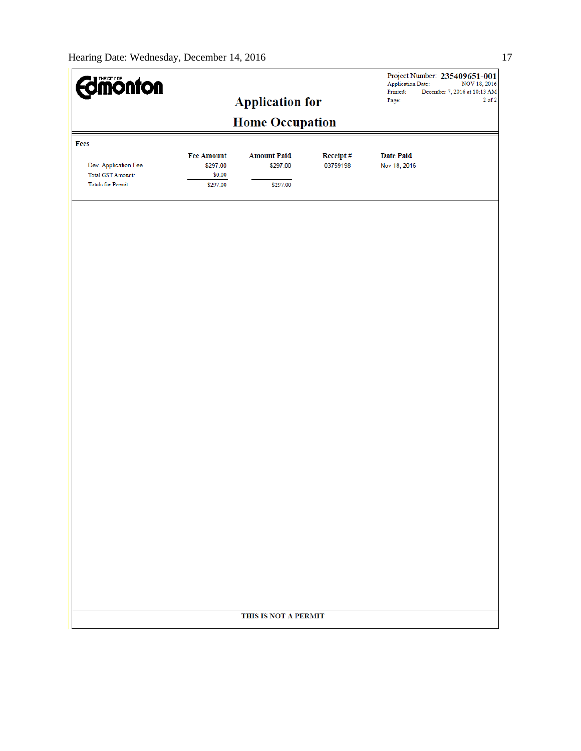| <b>Edimonton</b>                                                              |                                                     | <b>Application for</b>                     |                          | <b>Application Date:</b><br>Printed:<br>Page: | Project Number: 235409651-001<br>NOV 18, 2016<br>December 7, 2016 at 10:13 AM<br>$2$ of $2$ |
|-------------------------------------------------------------------------------|-----------------------------------------------------|--------------------------------------------|--------------------------|-----------------------------------------------|---------------------------------------------------------------------------------------------|
|                                                                               |                                                     | <b>Home Occupation</b>                     |                          |                                               |                                                                                             |
| Fees                                                                          |                                                     |                                            |                          |                                               |                                                                                             |
| Dev. Application Fee<br><b>Total GST Amount:</b><br><b>Totals for Permit:</b> | <b>Fee Amount</b><br>\$297.00<br>\$0.00<br>\$297.00 | <b>Amount Paid</b><br>\$297.00<br>\$297.00 | Receipt $\#$<br>03759198 | <b>Date Paid</b><br>Nov 18, 2016              |                                                                                             |
|                                                                               |                                                     |                                            |                          |                                               |                                                                                             |
|                                                                               |                                                     |                                            |                          |                                               |                                                                                             |
|                                                                               |                                                     |                                            |                          |                                               |                                                                                             |
|                                                                               |                                                     |                                            |                          |                                               |                                                                                             |
|                                                                               |                                                     |                                            |                          |                                               |                                                                                             |
|                                                                               |                                                     |                                            |                          |                                               |                                                                                             |
|                                                                               |                                                     |                                            |                          |                                               |                                                                                             |
|                                                                               |                                                     |                                            |                          |                                               |                                                                                             |
|                                                                               |                                                     |                                            |                          |                                               |                                                                                             |
|                                                                               |                                                     |                                            |                          |                                               |                                                                                             |
|                                                                               |                                                     |                                            |                          |                                               |                                                                                             |
|                                                                               |                                                     |                                            |                          |                                               |                                                                                             |
|                                                                               |                                                     |                                            |                          |                                               |                                                                                             |
|                                                                               |                                                     |                                            |                          |                                               |                                                                                             |
|                                                                               |                                                     | THIS IS NOT A PERMIT                       |                          |                                               |                                                                                             |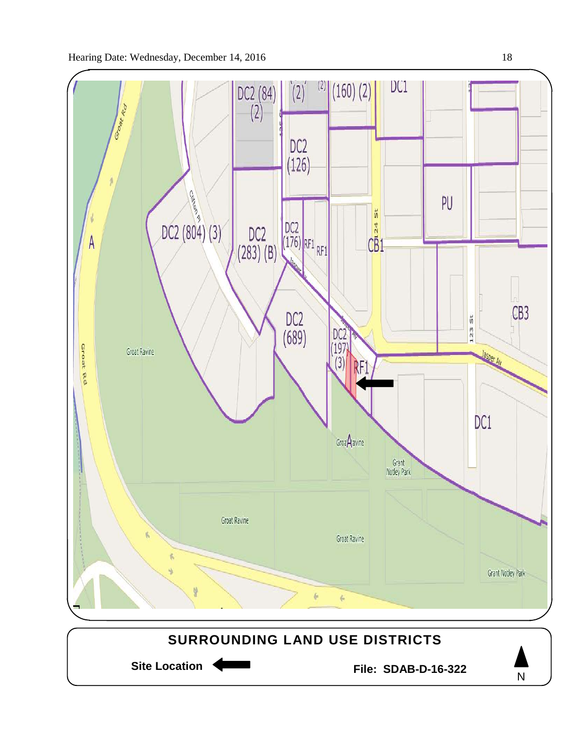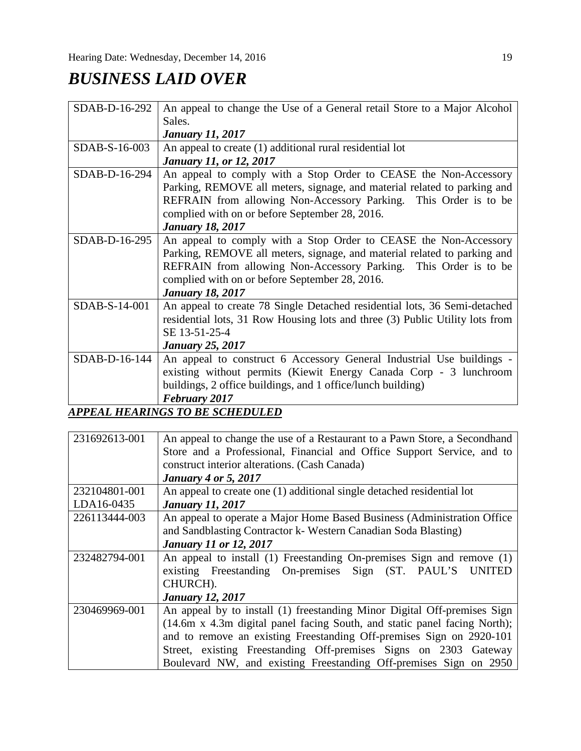# *BUSINESS LAID OVER*

| SDAB-D-16-292   | An appeal to change the Use of a General retail Store to a Major Alcohol     |  |  |
|-----------------|------------------------------------------------------------------------------|--|--|
|                 | Sales.                                                                       |  |  |
|                 | <b>January 11, 2017</b>                                                      |  |  |
| SDAB-S-16-003   | An appeal to create (1) additional rural residential lot                     |  |  |
|                 | <b>January 11, or 12, 2017</b>                                               |  |  |
| SDAB-D-16-294   | An appeal to comply with a Stop Order to CEASE the Non-Accessory             |  |  |
|                 | Parking, REMOVE all meters, signage, and material related to parking and     |  |  |
|                 | REFRAIN from allowing Non-Accessory Parking. This Order is to be             |  |  |
|                 | complied with on or before September 28, 2016.                               |  |  |
|                 | <b>January 18, 2017</b>                                                      |  |  |
| SDAB-D-16-295   | An appeal to comply with a Stop Order to CEASE the Non-Accessory             |  |  |
|                 | Parking, REMOVE all meters, signage, and material related to parking and     |  |  |
|                 | REFRAIN from allowing Non-Accessory Parking. This Order is to be             |  |  |
|                 | complied with on or before September 28, 2016.                               |  |  |
|                 | <b>January 18, 2017</b>                                                      |  |  |
| SDAB-S-14-001   | An appeal to create 78 Single Detached residential lots, 36 Semi-detached    |  |  |
|                 | residential lots, 31 Row Housing lots and three (3) Public Utility lots from |  |  |
|                 | SE 13-51-25-4                                                                |  |  |
|                 | <b>January 25, 2017</b>                                                      |  |  |
| $SDAB-D-16-144$ | An appeal to construct 6 Accessory General Industrial Use buildings -        |  |  |
|                 | existing without permits (Kiewit Energy Canada Corp - 3 lunchroom            |  |  |
|                 | buildings, 2 office buildings, and 1 office/lunch building)                  |  |  |
|                 | <b>February 2017</b>                                                         |  |  |
|                 | <b>APPEAL HEARINGS TO BE SCHEDULED</b>                                       |  |  |

| 231692613-001 | An appeal to change the use of a Restaurant to a Pawn Store, a Secondhand |  |  |  |
|---------------|---------------------------------------------------------------------------|--|--|--|
|               | Store and a Professional, Financial and Office Support Service, and to    |  |  |  |
|               | construct interior alterations. (Cash Canada)                             |  |  |  |
|               | <b>January 4 or 5, 2017</b>                                               |  |  |  |
| 232104801-001 | An appeal to create one (1) additional single detached residential lot    |  |  |  |
| LDA16-0435    | <b>January 11, 2017</b>                                                   |  |  |  |
| 226113444-003 | An appeal to operate a Major Home Based Business (Administration Office   |  |  |  |
|               | and Sandblasting Contractor k- Western Canadian Soda Blasting)            |  |  |  |
|               | <b>January 11 or 12, 2017</b>                                             |  |  |  |
| 232482794-001 | An appeal to install (1) Freestanding On-premises Sign and remove (1)     |  |  |  |
|               | existing Freestanding On-premises Sign (ST. PAUL'S<br><b>UNITED</b>       |  |  |  |
|               | CHURCH).                                                                  |  |  |  |
|               | <b>January 12, 2017</b>                                                   |  |  |  |
| 230469969-001 | An appeal by to install (1) freestanding Minor Digital Off-premises Sign  |  |  |  |
|               | (14.6m x 4.3m digital panel facing South, and static panel facing North); |  |  |  |
|               | and to remove an existing Freestanding Off-premises Sign on 2920-101      |  |  |  |
|               | Street, existing Freestanding Off-premises Signs on 2303 Gateway          |  |  |  |
|               | Boulevard NW, and existing Freestanding Off-premises Sign on 2950         |  |  |  |